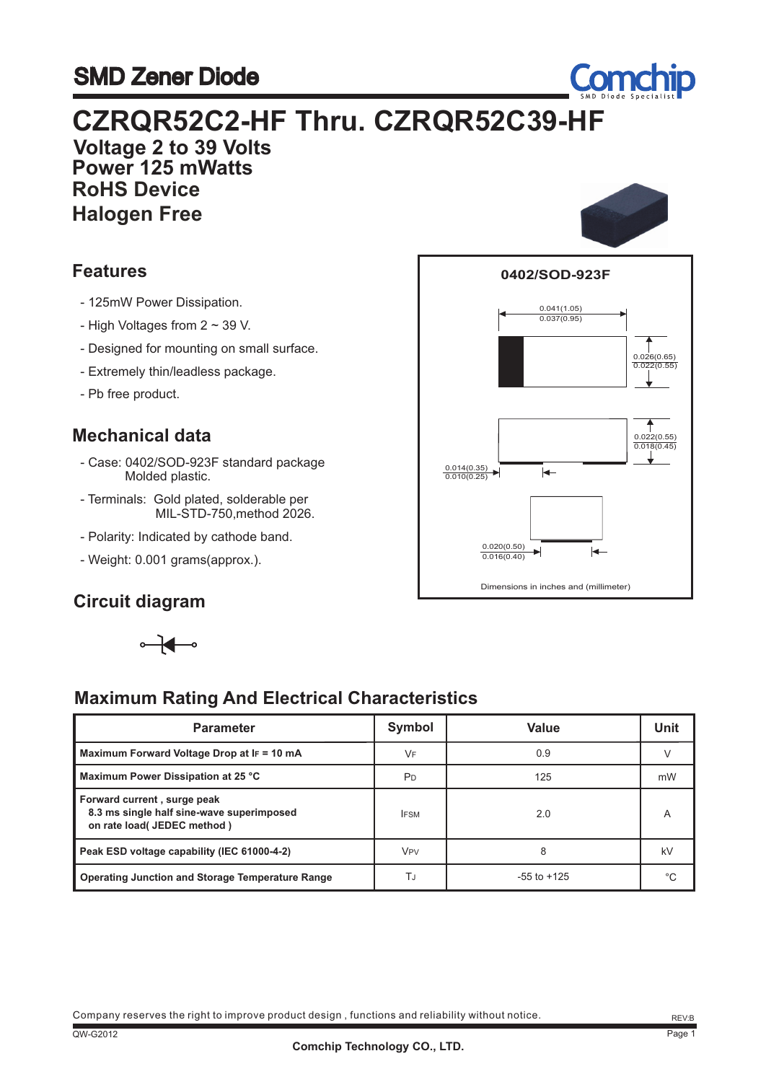# SMD Zener Diode



 **Voltage 2 to 39 Volts Power 125 mWatts RoHS Device Halogen Free**

#### **Features**

- 125mW Power Dissipation.
- High Voltages from 2 ~ 39 V.
- Designed for mounting on small surface.
- Extremely thin/leadless package.
- Pb free product.

#### **Mechanical data**

- Case: 0402/SOD-923F standard package Molded plastic.
- Terminals: Gold plated, solderable per MIL-STD-750,method 2026.
- Polarity: Indicated by cathode band.
- Weight: 0.001 grams(approx.).

#### **Circuit diagram**



### **Maximum Rating And Electrical Characteristics**

| <b>Parameter</b>                                                                                         | Symbol                | Value           | Unit |
|----------------------------------------------------------------------------------------------------------|-----------------------|-----------------|------|
| Maximum Forward Voltage Drop at IF = 10 mA                                                               | VF.                   | 0.9             |      |
| Maximum Power Dissipation at 25 °C                                                                       | PD                    | 125             | mW   |
| Forward current, surge peak<br>8.3 ms single half sine-wave superimposed<br>on rate load( JEDEC method ) | <b>IFSM</b>           | 2.0             | A    |
| Peak ESD voltage capability (IEC 61000-4-2)                                                              | <b>V<sub>PV</sub></b> | 8               | kV   |
| <b>Operating Junction and Storage Temperature Range</b>                                                  | TJ                    | $-55$ to $+125$ | °C   |





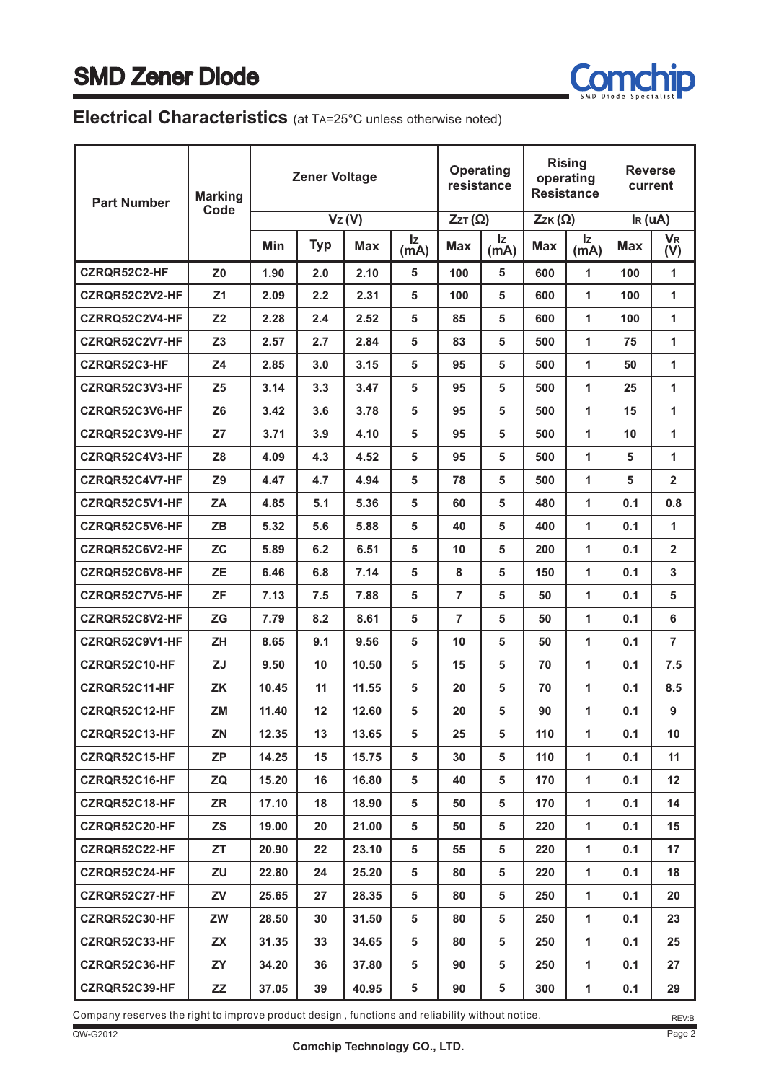

#### **Electrical Characteristics** (at TA=25°C unless otherwise noted)

| <b>Part Number</b> | <b>Marking</b> | <b>Zener Voltage</b> |            |            | <b>Operating</b><br>resistance |               | <b>Rising</b><br>operating<br><b>Resistance</b> |               | <b>Reverse</b><br>current |                     |                             |
|--------------------|----------------|----------------------|------------|------------|--------------------------------|---------------|-------------------------------------------------|---------------|---------------------------|---------------------|-----------------------------|
|                    | Code           |                      |            | Vz(V)      |                                | $ZzT(\Omega)$ |                                                 | $ZzK(\Omega)$ |                           | I <sub>R</sub> (uA) |                             |
|                    |                | Min                  | <b>Typ</b> | <b>Max</b> | Iz<br>(m <sub>A</sub> )        | <b>Max</b>    | Iz.<br>(mA)                                     | <b>Max</b>    | Iz.<br>(mA)               | <b>Max</b>          | <b>V<sub>R</sub></b><br>(V) |
| CZRQR52C2-HF       | Z0             | 1.90                 | 2.0        | 2.10       | 5                              | 100           | 5                                               | 600           | 1                         | 100                 | 1                           |
| CZRQR52C2V2-HF     | Z <sub>1</sub> | 2.09                 | 2.2        | 2.31       | 5                              | 100           | 5                                               | 600           | 1                         | 100                 | 1                           |
| CZRRQ52C2V4-HF     | Z <sub>2</sub> | 2.28                 | 2.4        | 2.52       | 5                              | 85            | 5                                               | 600           | 1                         | 100                 | 1                           |
| CZRQR52C2V7-HF     | Z <sub>3</sub> | 2.57                 | 2.7        | 2.84       | 5                              | 83            | 5                                               | 500           | 1                         | 75                  | 1                           |
| CZRQR52C3-HF       | Z4             | 2.85                 | 3.0        | 3.15       | 5                              | 95            | 5                                               | 500           | 1                         | 50                  | 1                           |
| CZRQR52C3V3-HF     | Z <sub>5</sub> | 3.14                 | 3.3        | 3.47       | 5                              | 95            | 5                                               | 500           | 1                         | 25                  | 1                           |
| CZRQR52C3V6-HF     | <b>Z6</b>      | 3.42                 | 3.6        | 3.78       | 5                              | 95            | 5                                               | 500           | 1                         | 15                  | 1                           |
| CZRQR52C3V9-HF     | Z7             | 3.71                 | 3.9        | 4.10       | 5                              | 95            | 5                                               | 500           | 1                         | 10                  | 1                           |
| CZRQR52C4V3-HF     | Z <sub>8</sub> | 4.09                 | 4.3        | 4.52       | 5                              | 95            | 5                                               | 500           | 1                         | 5                   | 1                           |
| CZRQR52C4V7-HF     | <b>Z9</b>      | 4.47                 | 4.7        | 4.94       | 5                              | 78            | 5                                               | 500           | 1                         | 5                   | $\mathbf{2}$                |
| CZRQR52C5V1-HF     | ZA             | 4.85                 | 5.1        | 5.36       | 5                              | 60            | 5                                               | 480           | 1                         | 0.1                 | 0.8                         |
| CZRQR52C5V6-HF     | <b>ZB</b>      | 5.32                 | 5.6        | 5.88       | 5                              | 40            | 5                                               | 400           | 1                         | 0.1                 | 1                           |
| CZRQR52C6V2-HF     | <b>ZC</b>      | 5.89                 | 6.2        | 6.51       | 5                              | 10            | 5                                               | 200           | 1                         | 0.1                 | $\mathbf{2}$                |
| CZRQR52C6V8-HF     | <b>ZE</b>      | 6.46                 | 6.8        | 7.14       | 5                              | 8             | 5                                               | 150           | 1                         | 0.1                 | 3                           |
| CZRQR52C7V5-HF     | <b>ZF</b>      | 7.13                 | 7.5        | 7.88       | 5                              | 7             | 5                                               | 50            | 1                         | 0.1                 | 5                           |
| CZRQR52C8V2-HF     | <b>ZG</b>      | 7.79                 | 8.2        | 8.61       | 5                              | 7             | 5                                               | 50            | 1                         | 0.1                 | 6                           |
| CZRQR52C9V1-HF     | <b>ZH</b>      | 8.65                 | 9.1        | 9.56       | 5                              | 10            | 5                                               | 50            | 1                         | 0.1                 | 7                           |
| CZRQR52C10-HF      | <b>ZJ</b>      | 9.50                 | 10         | 10.50      | 5                              | 15            | 5                                               | 70            | 1                         | 0.1                 | 7.5                         |
| CZRQR52C11-HF      | <b>ZK</b>      | 10.45                | 11         | 11.55      | 5                              | 20            | 5                                               | 70            | 1                         | 0.1                 | 8.5                         |
| CZRQR52C12-HF      | <b>ZM</b>      | 11.40                | 12         | 12.60      | 5                              | 20            | 5                                               | 90            | 1                         | 0.1                 | 9                           |
| CZRQR52C13-HF      | ZN             | 12.35                | 13         | 13.65      | 5                              | 25            | 5                                               | 110           | 1                         | 0.1                 | 10                          |
| CZRQR52C15-HF      | ZP             | 14.25                | 15         | 15.75      | 5                              | 30            | 5                                               | 110           | 1                         | 0.1                 | 11                          |
| CZRQR52C16-HF      | ZQ             | 15.20                | 16         | 16.80      | 5                              | 40            | 5                                               | 170           | 1                         | 0.1                 | $12 \overline{ }$           |
| CZRQR52C18-HF      | ZR             | 17.10                | 18         | 18.90      | 5                              | 50            | 5                                               | 170           | $\mathbf{1}$              | 0.1                 | 14                          |
| CZRQR52C20-HF      | <b>ZS</b>      | 19.00                | 20         | 21.00      | 5                              | 50            | 5                                               | 220           | 1                         | 0.1                 | 15                          |
| CZRQR52C22-HF      | <b>ZT</b>      | 20.90                | 22         | 23.10      | 5                              | 55            | 5                                               | 220           | $\mathbf{1}$              | 0.1                 | 17                          |
| CZRQR52C24-HF      | ZU             | 22.80                | 24         | 25.20      | 5                              | 80            | 5                                               | 220           | 1                         | 0.1                 | 18                          |
| CZRQR52C27-HF      | ZV             | 25.65                | 27         | 28.35      | 5                              | 80            | 5                                               | 250           | $\mathbf{1}$              | 0.1                 | 20                          |
| CZRQR52C30-HF      | ZW             | 28.50                | 30         | 31.50      | 5                              | 80            | 5                                               | 250           | $\mathbf{1}$              | 0.1                 | 23                          |
| CZRQR52C33-HF      | <b>ZX</b>      | 31.35                | 33         | 34.65      | 5                              | 80            | 5                                               | 250           | $\mathbf{1}$              | 0.1                 | 25                          |
| CZRQR52C36-HF      | ZY             | 34.20                | 36         | 37.80      | 5                              | 90            | 5                                               | 250           | 1                         | 0.1                 | 27                          |
| CZRQR52C39-HF      | ZZ             | 37.05                | 39         | 40.95      | 5                              | 90            | 5                                               | 300           | 1                         | 0.1                 | 29                          |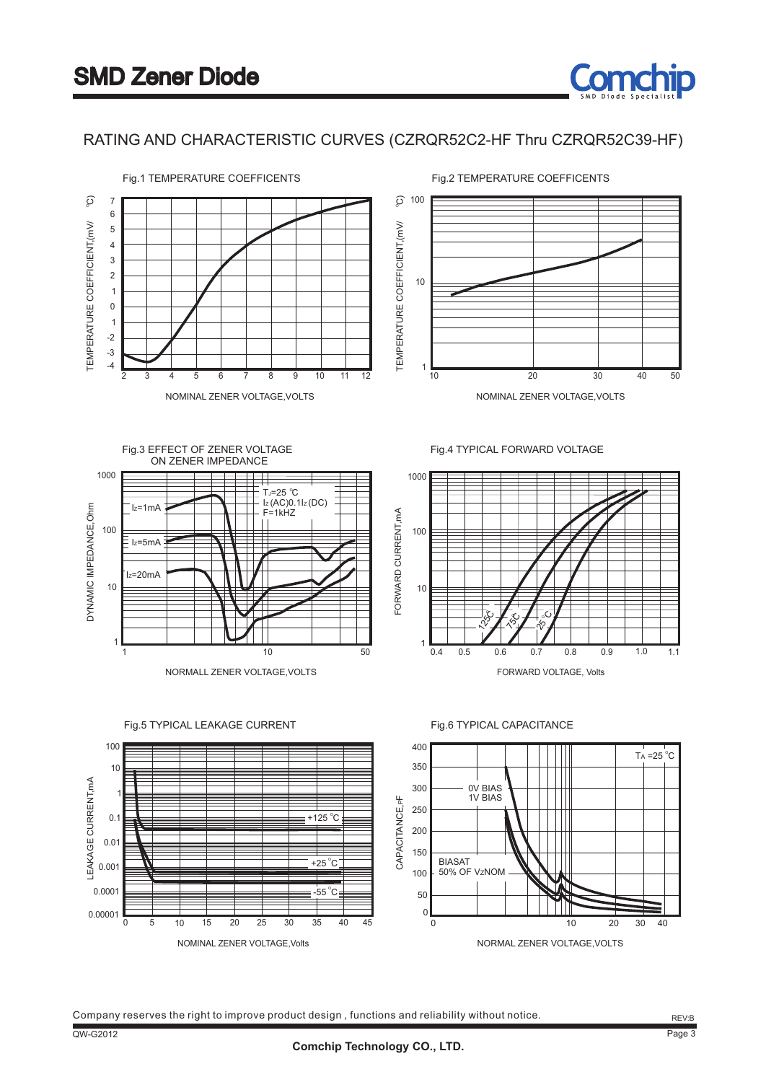





NORMALL ZENER VOLTAGE,VOLTS

Fig.4 TYPICAL FORWARD VOLTAGE



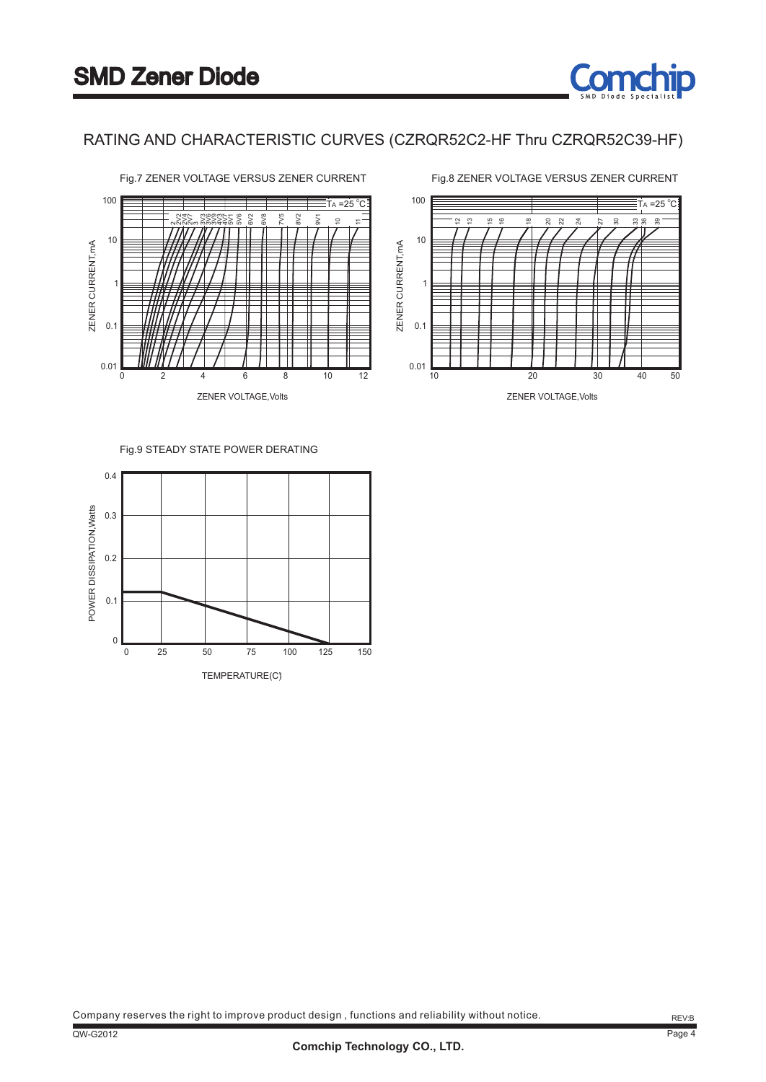

RATING AND CHARACTERISTIC CURVES (CZRQR52C2-HF Thru CZRQR52C39-HF)



#### Fig.9 STEADY STATE POWER DERATING

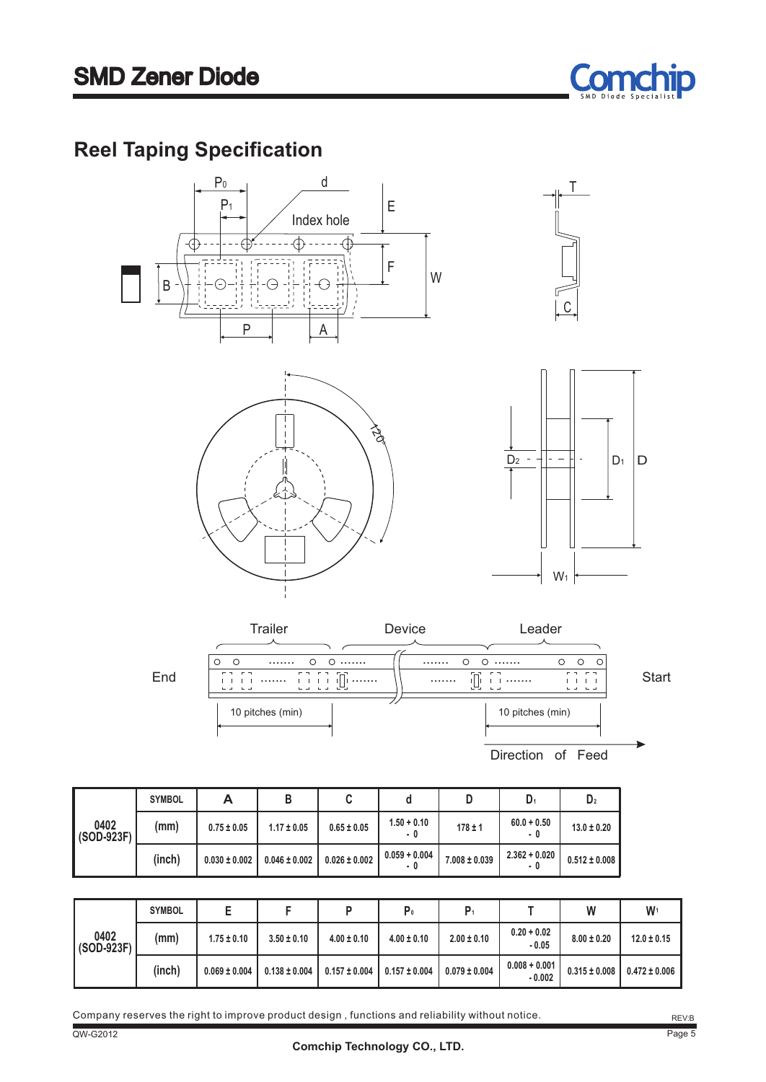

### **Reel Taping Specification**





|                        | <b>SYMBOL</b> | А                 | в                 | u                 |                        |                   | D <sub>1</sub>         | D <sub>2</sub>    |
|------------------------|---------------|-------------------|-------------------|-------------------|------------------------|-------------------|------------------------|-------------------|
| 0402<br>$ $ (SOD-923F) | (mm)          | $0.75 \pm 0.05$   | $1.17 \pm 0.05$   | $0.65 \pm 0.05$   | $1.50 + 0.10$<br>- 0   | $178 \pm 1$       | $60.0 + 0.50$<br>- 0   | $13.0 \pm 0.20$   |
|                        | (inch)        | $0.030 \pm 0.002$ | $0.046 \pm 0.002$ | $0.026 \pm 0.002$ | $0.059 + 0.004$<br>- 0 | $7.008 \pm 0.039$ | $2.362 + 0.020$<br>- 0 | $0.512 \pm 0.008$ |

|                    | <b>SYMBOL</b> |                   |                   |                   | P0                |                   |                             | W                 | W <sub>1</sub>    |
|--------------------|---------------|-------------------|-------------------|-------------------|-------------------|-------------------|-----------------------------|-------------------|-------------------|
| 0402<br>(SOD-923F) | (mm)          | $1.75 \pm 0.10$   | $3.50 \pm 0.10$   | $4.00 \pm 0.10$   | $4.00 \pm 0.10$   | $2.00 \pm 0.10$   | $0.20 + 0.02$<br>$-0.05$    | $8.00 \pm 0.20$   | $12.0 \pm 0.15$   |
|                    | (inch)        | $0.069 \pm 0.004$ | $0.138 \pm 0.004$ | $0.157 \pm 0.004$ | $0.157 \pm 0.004$ | $0.079 \pm 0.004$ | $0.008 + 0.001$<br>$-0.002$ | $0.315 \pm 0.008$ | $0.472 \pm 0.006$ |